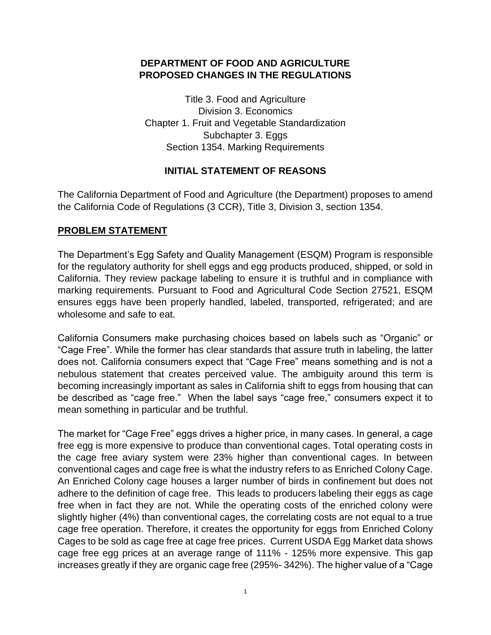#### **DEPARTMENT OF FOOD AND AGRICULTURE PROPOSED CHANGES IN THE REGULATIONS**

Title 3. Food and Agriculture Division 3. Economics Chapter 1. Fruit and Vegetable Standardization Subchapter 3. Eggs Section 1354. Marking Requirements

# **INITIAL STATEMENT OF REASONS**

 The California Department of Food and Agriculture (the Department) proposes to amend the California Code of Regulations (3 CCR), Title 3, Division 3, section 1354.

## **PROBLEM STATEMENT**

 California. They review package labeling to ensure it is truthful and in compliance with marking requirements. Pursuant to Food and Agricultural Code Section 27521, ESQM ensures eggs have been properly handled, labeled, transported, refrigerated; and are The Department's Egg Safety and Quality Management (ESQM) Program is responsible for the regulatory authority for shell eggs and egg products produced, shipped, or sold in wholesome and safe to eat.

 California Consumers make purchasing choices based on labels such as "Organic" or does not. California consumers expect that "Cage Free" means something and is not a nebulous statement that creates perceived value. The ambiguity around this term is becoming increasingly important as sales in California shift to eggs from housing that can be described as "cage free." When the label says "cage free," consumers expect it to "Cage Free". While the former has clear standards that assure truth in labeling, the latter mean something in particular and be truthful.

 The market for "Cage Free" eggs drives a higher price, in many cases. In general, a cage the cage free aviary system were 23% higher than conventional cages. In between conventional cages and cage free is what the industry refers to as Enriched Colony Cage. An Enriched Colony cage houses a larger number of birds in confinement but does not adhere to the definition of cage free. This leads to producers labeling their eggs as cage free when in fact they are not. While the operating costs of the enriched colony were slightly higher (4%) than conventional cages, the correlating costs are not equal to a true cage free operation. Therefore, it creates the opportunity for eggs from Enriched Colony Cages to be sold as cage free at cage free prices. Current USDA Egg Market data shows cage free egg prices at an average range of 111% - 125% more expensive. This gap increases greatly if they are organic cage free (295%- 342%). The higher value of a "Cage free egg is more expensive to produce than conventional cages. Total operating costs in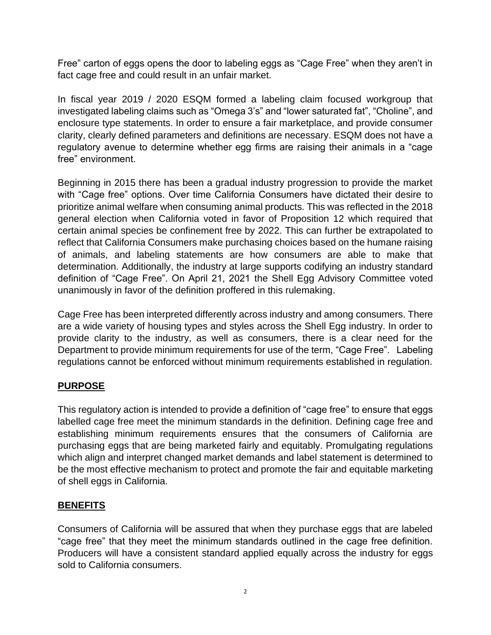Free" carton of eggs opens the door to labeling eggs as "Cage Free" when they aren't in fact cage free and could result in an unfair market.

 In fiscal year 2019 / 2020 ESQM formed a labeling claim focused workgroup that investigated labeling claims such as "Omega 3's" and "lower saturated fat", "Choline", and enclosure type statements. In order to ensure a fair marketplace, and provide consumer clarity, clearly defined parameters and definitions are necessary. ESQM does not have a regulatory avenue to determine whether egg firms are raising their animals in a "cage free" environment.

 Beginning in 2015 there has been a gradual industry progression to provide the market with "Cage free" options. Over time California Consumers have dictated their desire to prioritize animal welfare when consuming animal products. This was reflected in the 2018 general election when California voted in favor of Proposition 12 which required that certain animal species be confinement free by 2022. This can further be extrapolated to reflect that California Consumers make purchasing choices based on the humane raising of animals, and labeling statements are how consumers are able to make that determination. Additionally, the industry at large supports codifying an industry standard definition of "Cage Free". On April 21, 2021 the Shell Egg Advisory Committee voted unanimously in favor of the definition proffered in this rulemaking.

 Cage Free has been interpreted differently across industry and among consumers. There are a wide variety of housing types and styles across the Shell Egg industry. In order to provide clarity to the industry, as well as consumers, there is a clear need for the Department to provide minimum requirements for use of the term, "Cage Free". Labeling regulations cannot be enforced without minimum requirements established in regulation.

# **PURPOSE**

 This regulatory action is intended to provide a definition of "cage free" to ensure that eggs labelled cage free meet the minimum standards in the definition. Defining cage free and establishing minimum requirements ensures that the consumers of California are purchasing eggs that are being marketed fairly and equitably. Promulgating regulations which align and interpret changed market demands and label statement is determined to be the most effective mechanism to protect and promote the fair and equitable marketing of shell eggs in California.

## **BENEFITS**

 Consumers of California will be assured that when they purchase eggs that are labeled "cage free" that they meet the minimum standards outlined in the cage free definition. Producers will have a consistent standard applied equally across the industry for eggs sold to California consumers.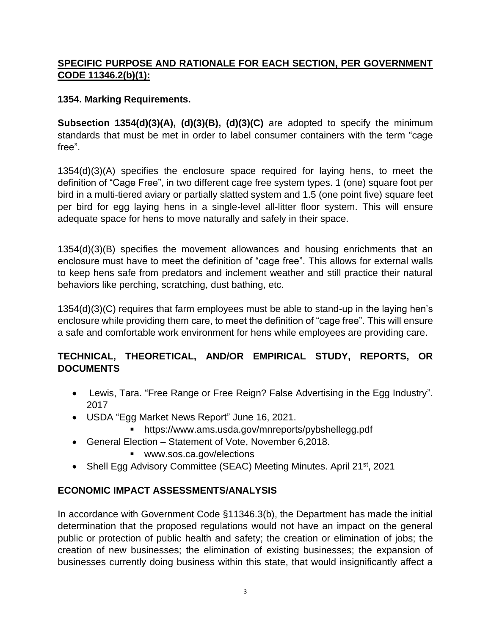# **SPECIFIC PURPOSE AND RATIONALE FOR EACH SECTION, PER GOVERNMENT CODE 11346.2(b)(1):**

## **1354. Marking Requirements.**

 **Subsection 1354(d)(3)(A), (d)(3)(B), (d)(3)(C)** are adopted to specify the minimum standards that must be met in order to label consumer containers with the term "cage free".

 1354(d)(3)(A) specifies the enclosure space required for laying hens, to meet the definition of "Cage Free", in two different cage free system types. 1 (one) square foot per per bird for egg laying hens in a single-level all-litter floor system. This will ensure bird in a multi-tiered aviary or partially slatted system and 1.5 (one point five) square feet adequate space for hens to move naturally and safely in their space.

 1354(d)(3)(B) specifies the movement allowances and housing enrichments that an enclosure must have to meet the definition of "cage free". This allows for external walls to keep hens safe from predators and inclement weather and still practice their natural behaviors like perching, scratching, dust bathing, etc.

 1354(d)(3)(C) requires that farm employees must be able to stand-up in the laying hen's enclosure while providing them care, to meet the definition of "cage free". This will ensure a safe and comfortable work environment for hens while employees are providing care.

# **TECHNICAL, THEORETICAL, AND/OR EMPIRICAL STUDY, REPORTS, OR DOCUMENTS**

- • Lewis, Tara. "Free Range or Free Reign? False Advertising in the Egg Industry". 2017
- USDA "Egg Market News Report" June 16, 2021.
	- <https://www.ams.usda.gov/mnreports/pybshellegg.pdf>
- General Election Statement of Vote, November 6,2018.
	- <www.sos.ca.gov/elections>
- Shell Egg Advisory Committee (SEAC) Meeting Minutes. April 21<sup>st</sup>, 2021

## **ECONOMIC IMPACT ASSESSMENTS/ANALYSIS**

 In accordance with Government Code §11346.3(b), the Department has made the initial determination that the proposed regulations would not have an impact on the general public or protection of public health and safety; the creation or elimination of jobs; the creation of new businesses; the elimination of existing businesses; the expansion of businesses currently doing business within this state, that would insignificantly affect a